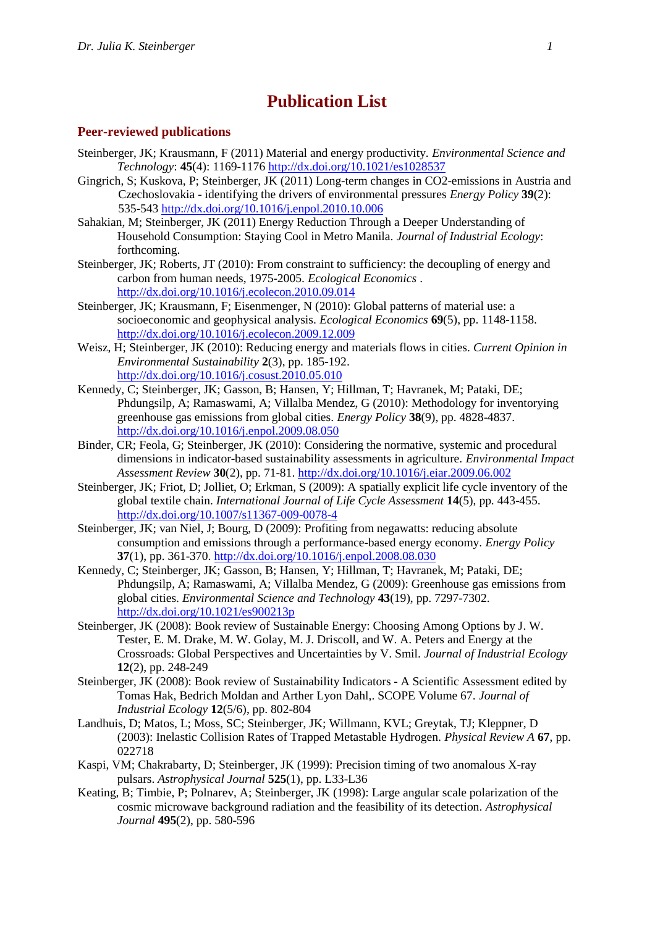## **Publication List**

## **Peer-reviewed publications**

- Steinberger, JK; Krausmann, F (2011) Material and energy productivity. *Environmental Science and Technology*: **45**(4): 1169-1176 http://dx.doi.org/10.1021/es1028537
- Gingrich, S; Kuskova, P; Steinberger, JK (2011) Long-term changes in CO2-emissions in Austria and Czechoslovakia - identifying the drivers of environmental pressures *Energy Policy* **39**(2): 535-543 http://dx.doi.org/10.1016/j.enpol.2010.10.006
- Sahakian, M; Steinberger, JK (2011) Energy Reduction Through a Deeper Understanding of Household Consumption: Staying Cool in Metro Manila. *Journal of Industrial Ecology*: forthcoming.
- Steinberger, JK; Roberts, JT (2010): From constraint to sufficiency: the decoupling of energy and carbon from human needs, 1975-2005. *Ecological Economics* . http://dx.doi.org/10.1016/j.ecolecon.2010.09.014
- Steinberger, JK; Krausmann, F; Eisenmenger, N (2010): Global patterns of material use: a socioeconomic and geophysical analysis. *Ecological Economics* **69**(5), pp. 1148-1158. http://dx.doi.org/10.1016/j.ecolecon.2009.12.009
- Weisz, H; Steinberger, JK (2010): Reducing energy and materials flows in cities. *Current Opinion in Environmental Sustainability* **2**(3), pp. 185-192. http://dx.doi.org/10.1016/j.cosust.2010.05.010
- Kennedy, C; Steinberger, JK; Gasson, B; Hansen, Y; Hillman, T; Havranek, M; Pataki, DE; Phdungsilp, A; Ramaswami, A; Villalba Mendez, G (2010): Methodology for inventorying greenhouse gas emissions from global cities. *Energy Policy* **38**(9), pp. 4828-4837. http://dx.doi.org/10.1016/j.enpol.2009.08.050
- Binder, CR; Feola, G; Steinberger, JK (2010): Considering the normative, systemic and procedural dimensions in indicator-based sustainability assessments in agriculture. *Environmental Impact Assessment Review* **30**(2), pp. 71-81. http://dx.doi.org/10.1016/j.eiar.2009.06.002
- Steinberger, JK; Friot, D; Jolliet, O; Erkman, S (2009): A spatially explicit life cycle inventory of the global textile chain. *International Journal of Life Cycle Assessment* **14**(5), pp. 443-455. http://dx.doi.org/10.1007/s11367-009-0078-4
- Steinberger, JK; van Niel, J; Bourg, D (2009): Profiting from negawatts: reducing absolute consumption and emissions through a performance-based energy economy. *Energy Policy* **37**(1), pp. 361-370. http://dx.doi.org/10.1016/j.enpol.2008.08.030
- Kennedy, C; Steinberger, JK; Gasson, B; Hansen, Y; Hillman, T; Havranek, M; Pataki, DE; Phdungsilp, A; Ramaswami, A; Villalba Mendez, G (2009): Greenhouse gas emissions from global cities. *Environmental Science and Technology* **43**(19), pp. 7297-7302. http://dx.doi.org/10.1021/es900213p
- Steinberger, JK (2008): Book review of Sustainable Energy: Choosing Among Options by J. W. Tester, E. M. Drake, M. W. Golay, M. J. Driscoll, and W. A. Peters and Energy at the Crossroads: Global Perspectives and Uncertainties by V. Smil. *Journal of Industrial Ecology* **12**(2), pp. 248-249
- Steinberger, JK (2008): Book review of Sustainability Indicators A Scientific Assessment edited by Tomas Hak, Bedrich Moldan and Arther Lyon Dahl,. SCOPE Volume 67. *Journal of Industrial Ecology* **12**(5/6), pp. 802-804
- Landhuis, D; Matos, L; Moss, SC; Steinberger, JK; Willmann, KVL; Greytak, TJ; Kleppner, D (2003): Inelastic Collision Rates of Trapped Metastable Hydrogen. *Physical Review A* **67**, pp. 022718
- Kaspi, VM; Chakrabarty, D; Steinberger, JK (1999): Precision timing of two anomalous X-ray pulsars. *Astrophysical Journal* **525**(1), pp. L33-L36
- Keating, B; Timbie, P; Polnarev, A; Steinberger, JK (1998): Large angular scale polarization of the cosmic microwave background radiation and the feasibility of its detection. *Astrophysical Journal* **495**(2), pp. 580-596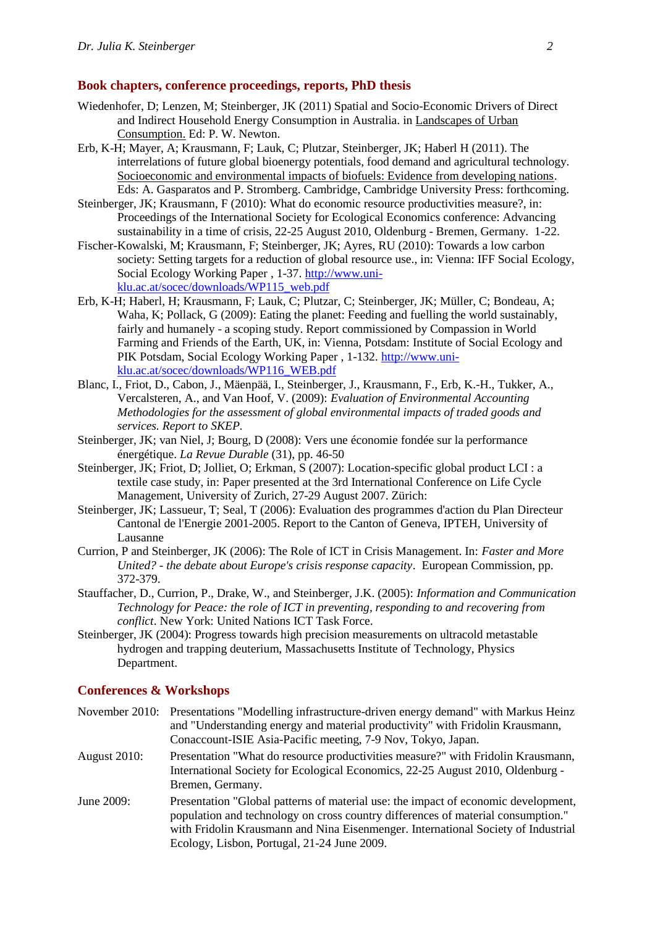## **Book chapters, conference proceedings, reports, PhD thesis**

- Wiedenhofer, D; Lenzen, M; Steinberger, JK (2011) Spatial and Socio-Economic Drivers of Direct and Indirect Household Energy Consumption in Australia. in Landscapes of Urban Consumption. Ed: P. W. Newton.
- Erb, K-H; Mayer, A; Krausmann, F; Lauk, C; Plutzar, Steinberger, JK; Haberl H (2011). The interrelations of future global bioenergy potentials, food demand and agricultural technology. Socioeconomic and environmental impacts of biofuels: Evidence from developing nations. Eds: A. Gasparatos and P. Stromberg. Cambridge, Cambridge University Press: forthcoming.
- Steinberger, JK; Krausmann, F (2010): What do economic resource productivities measure?, in: Proceedings of the International Society for Ecological Economics conference: Advancing sustainability in a time of crisis, 22-25 August 2010, Oldenburg - Bremen, Germany. 1-22.
- Fischer-Kowalski, M; Krausmann, F; Steinberger, JK; Ayres, RU (2010): Towards a low carbon society: Setting targets for a reduction of global resource use., in: Vienna: IFF Social Ecology, Social Ecology Working Paper , 1-37. http://www.uniklu.ac.at/socec/downloads/WP115\_web.pdf
- Erb, K-H; Haberl, H; Krausmann, F; Lauk, C; Plutzar, C; Steinberger, JK; Müller, C; Bondeau, A; Waha, K; Pollack, G (2009): Eating the planet: Feeding and fuelling the world sustainably, fairly and humanely - a scoping study. Report commissioned by Compassion in World Farming and Friends of the Earth, UK, in: Vienna, Potsdam: Institute of Social Ecology and PIK Potsdam, Social Ecology Working Paper , 1-132. http://www.uniklu.ac.at/socec/downloads/WP116\_WEB.pdf
- Blanc, I., Friot, D., Cabon, J., Mäenpää, I., Steinberger, J., Krausmann, F., Erb, K.-H., Tukker, A., Vercalsteren, A., and Van Hoof, V. (2009): *Evaluation of Environmental Accounting Methodologies for the assessment of global environmental impacts of traded goods and services. Report to SKEP.*
- Steinberger, JK; van Niel, J; Bourg, D (2008): Vers une économie fondée sur la performance énergétique. *La Revue Durable* (31), pp. 46-50
- Steinberger, JK; Friot, D; Jolliet, O; Erkman, S (2007): Location-specific global product LCI : a textile case study, in: Paper presented at the 3rd International Conference on Life Cycle Management, University of Zurich, 27-29 August 2007. Zürich:
- Steinberger, JK; Lassueur, T; Seal, T (2006): Evaluation des programmes d'action du Plan Directeur Cantonal de l'Energie 2001-2005. Report to the Canton of Geneva, IPTEH, University of Lausanne
- Currion, P and Steinberger, JK (2006): The Role of ICT in Crisis Management. In: *Faster and More United? - the debate about Europe's crisis response capacity*. European Commission, pp. 372-379.
- Stauffacher, D., Currion, P., Drake, W., and Steinberger, J.K. (2005): *Information and Communication Technology for Peace: the role of ICT in preventing, responding to and recovering from conflict*. New York: United Nations ICT Task Force.
- Steinberger, JK (2004): Progress towards high precision measurements on ultracold metastable hydrogen and trapping deuterium, Massachusetts Institute of Technology, Physics Department.

## **Conferences & Workshops**

|                     | November 2010: Presentations "Modelling infrastructure-driven energy demand" with Markus Heinz<br>and "Understanding energy and material productivity" with Fridolin Krausmann,<br>Conaccount-ISIE Asia-Pacific meeting, 7-9 Nov, Tokyo, Japan.                                                            |
|---------------------|------------------------------------------------------------------------------------------------------------------------------------------------------------------------------------------------------------------------------------------------------------------------------------------------------------|
| <b>August 2010:</b> | Presentation "What do resource productivities measure?" with Fridolin Krausmann,<br>International Society for Ecological Economics, 22-25 August 2010, Oldenburg -<br>Bremen, Germany.                                                                                                                     |
| June 2009:          | Presentation "Global patterns of material use: the impact of economic development,<br>population and technology on cross country differences of material consumption."<br>with Fridolin Krausmann and Nina Eisenmenger. International Society of Industrial<br>Ecology, Lisbon, Portugal, 21-24 June 2009. |